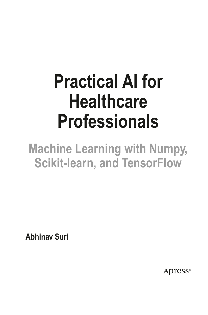# **Practical AI for Healthcare Professionals**

**Machine Learning with Numpy, Scikit-learn, and TensorFlow**

**Abhinav Suri**

Apress<sup>®</sup>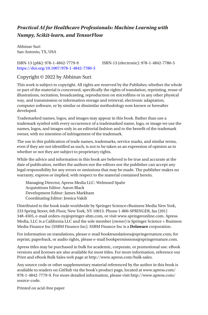#### *Practical AI for Healthcare Professionals: Machine Learning with Numpy, Scikit-learn, and TensorFlow*

Abhinav Suri San Antonio, TX, USA

#### ISBN-13 (pbk): 978-1-4842-7779-9 ISBN-13 (electronic): 978-1-4842-7780-5 <https://doi.org/10.1007/978-1-4842-7780-5>

#### Copyright © 2022 by Abhinav Suri

This work is subject to copyright. All rights are reserved by the Publisher, whether the whole or part of the material is concerned, specifically the rights of translation, reprinting, reuse of illustrations, recitation, broadcasting, reproduction on microfilms or in any other physical way, and transmission or information storage and retrieval, electronic adaptation, computer software, or by similar or dissimilar methodology now known or hereafter developed.

Trademarked names, logos, and images may appear in this book. Rather than use a trademark symbol with every occurrence of a trademarked name, logo, or image we use the names, logos, and images only in an editorial fashion and to the benefit of the trademark owner, with no intention of infringement of the trademark.

The use in this publication of trade names, trademarks, service marks, and similar terms, even if they are not identified as such, is not to be taken as an expression of opinion as to whether or not they are subject to proprietary rights.

While the advice and information in this book are believed to be true and accurate at the date of publication, neither the authors nor the editors nor the publisher can accept any legal responsibility for any errors or omissions that may be made. The publisher makes no warranty, express or implied, with respect to the material contained herein.

Managing Director, Apress Media LLC: Welmoed Spahr Acquisitions Editor: Aaron Black Development Editor: James Markham Coordinating Editor: Jessica Vakili

Distributed to the book trade worldwide by Springer Science+Business Media New York, 233 Spring Street, 6th Floor, New York, NY 10013. Phone 1-800-SPRINGER, fax (201) 348-4505, e-mail orders-ny@springer-sbm.com, or visit www.springeronline.com. Apress Media, LLC is a California LLC and the sole member (owner) is Springer Science + Business Media Finance Inc (SSBM Finance Inc). SSBM Finance Inc is a **Delaware** corporation.

For information on translations, please e-mail booktranslations@springernature.com; for reprint, paperback, or audio rights, please e-mail bookpermissions@springernature.com.

Apress titles may be purchased in bulk for academic, corporate, or promotional use. eBook versions and licenses are also available for most titles. For more information, reference our Print and eBook Bulk Sales web page at http://www.apress.com/bulk-sales.

Any source code or other supplementary material referenced by the author in this book is available to readers on GitHub via the book's product page, located at www.apress.com/ 978-1-4842-7779-9. For more detailed information, please visit http://www.apress.com/ source-code.

Printed on acid-free paper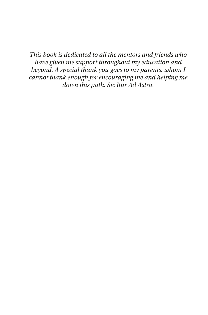*This book is dedicated to all the mentors and friends who have given me support throughout my education and beyond. A special thank you goes to my parents, whom I cannot thank enough for encouraging me and helping me down this path. Sic Itur Ad Astra.*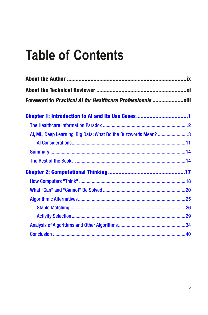## **Table of Contents**

| Chapter 1: Introduction to AI and Its Use Cases1               |  |
|----------------------------------------------------------------|--|
|                                                                |  |
| Al, ML, Deep Learning, Big Data: What Do the Buzzwords Mean? 3 |  |
|                                                                |  |
|                                                                |  |
|                                                                |  |
|                                                                |  |
|                                                                |  |
|                                                                |  |
|                                                                |  |
|                                                                |  |
|                                                                |  |
|                                                                |  |
|                                                                |  |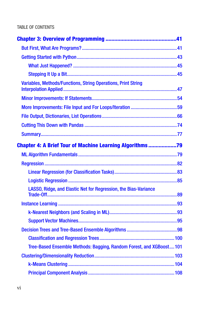#### TABLE OF CONTENTS

| Variables, Methods/Functions, String Operations, Print String        |  |
|----------------------------------------------------------------------|--|
|                                                                      |  |
|                                                                      |  |
|                                                                      |  |
|                                                                      |  |
|                                                                      |  |
| <b>Chapter 4: A Brief Tour of Machine Learning Algorithms 79</b>     |  |
|                                                                      |  |
|                                                                      |  |
|                                                                      |  |
|                                                                      |  |
| LASSO, Ridge, and Elastic Net for Regression, the Bias-Variance      |  |
|                                                                      |  |
|                                                                      |  |
|                                                                      |  |
|                                                                      |  |
|                                                                      |  |
| Tree-Based Ensemble Methods: Bagging, Random Forest, and XGBoost 101 |  |
|                                                                      |  |
|                                                                      |  |
|                                                                      |  |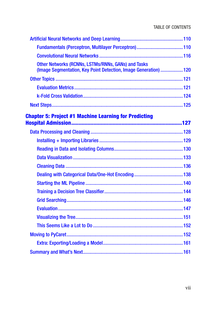| Other Networks (RCNNs, LSTMs/RNNs, GANs) and Tasks<br>(Image Segmentation, Key Point Detection, Image Generation)  120 |  |
|------------------------------------------------------------------------------------------------------------------------|--|
|                                                                                                                        |  |
|                                                                                                                        |  |
|                                                                                                                        |  |
|                                                                                                                        |  |
| <b>Chapter 5: Project #1 Machine Learning for Predicting</b>                                                           |  |
|                                                                                                                        |  |
|                                                                                                                        |  |
|                                                                                                                        |  |
|                                                                                                                        |  |
|                                                                                                                        |  |
|                                                                                                                        |  |
|                                                                                                                        |  |
|                                                                                                                        |  |
|                                                                                                                        |  |
|                                                                                                                        |  |
|                                                                                                                        |  |
|                                                                                                                        |  |
|                                                                                                                        |  |
|                                                                                                                        |  |
|                                                                                                                        |  |
|                                                                                                                        |  |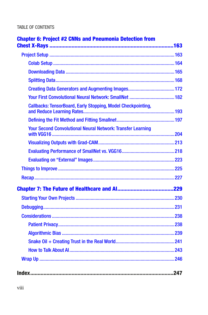#### TABLE OF CONTENTS

| <b>Chapter 6: Project #2 CNNs and Pneumonia Detection from</b>      |  |
|---------------------------------------------------------------------|--|
|                                                                     |  |
|                                                                     |  |
|                                                                     |  |
|                                                                     |  |
|                                                                     |  |
|                                                                     |  |
| <b>Callbacks: TensorBoard, Early Stopping, Model Checkpointing,</b> |  |
|                                                                     |  |
| <b>Your Second Convolutional Neural Network: Transfer Learning</b>  |  |
|                                                                     |  |
|                                                                     |  |
|                                                                     |  |
|                                                                     |  |
|                                                                     |  |
|                                                                     |  |
|                                                                     |  |
|                                                                     |  |
|                                                                     |  |
|                                                                     |  |
|                                                                     |  |
|                                                                     |  |
|                                                                     |  |
|                                                                     |  |
|                                                                     |  |

viii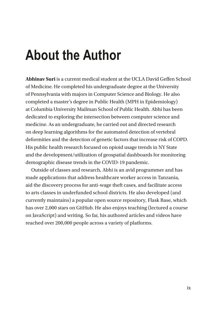## **About the Author**

**Abhinav Suri** is a current medical student at the UCLA David Geffen School of Medicine. He completed his undergraduate degree at the University of Pennsylvania with majors in Computer Science and Biology. He also completed a master's degree in Public Health (MPH in Epidemiology) at Columbia University Mailman School of Public Health. Abhi has been dedicated to exploring the intersection between computer science and medicine. As an undergraduate, he carried out and directed research on deep learning algorithms for the automated detection of vertebral deformities and the detection of genetic factors that increase risk of COPD. His public health research focused on opioid usage trends in NY State and the development/utilization of geospatial dashboards for monitoring demographic disease trends in the COVID-19 pandemic.

Outside of classes and research, Abhi is an avid programmer and has made applications that address healthcare worker access in Tanzania, aid the discovery process for anti-wage theft cases, and facilitate access to arts classes in underfunded school districts. He also developed (and currently maintains) a popular open source repository, Flask Base, which has over 2,000 stars on GitHub. He also enjoys teaching (lectured a course on JavaScript) and writing. So far, his authored articles and videos have reached over 200,000 people across a variety of platforms.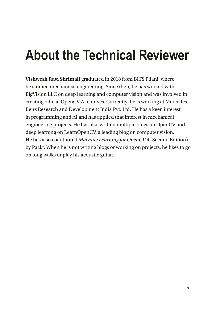## **About the Technical Reviewer**

**Vishwesh Ravi Shrimali** graduated in 2018 from BITS Pilani, where he studied mechanical engineering. Since then, he has worked with BigVision LLC on deep learning and computer vision and was involved in creating official OpenCV AI courses. Currently, he is working at Mercedes Benz Research and Development India Pvt. Ltd. He has a keen interest in programming and AI and has applied that interest in mechanical engineering projects. He has also written multiple blogs on OpenCV and deep learning on LearnOpenCV, a leading blog on computer vision. He has also coauthored *Machine Learning for OpenCV 4* (Second Edition) by Packt. When he is not writing blogs or working on projects, he likes to go on long walks or play his acoustic guitar.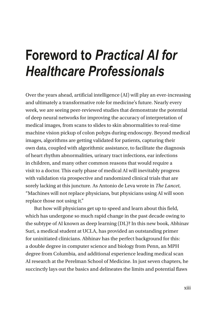### **Foreword to** *Practical AI for Healthcare Professionals*

Over the years ahead, artificial intelligence (AI) will play an ever-increasing and ultimately a transformative role for medicine's future. Nearly every week, we are seeing peer-reviewed studies that demonstrate the potential of deep neural networks for improving the accuracy of interpretation of medical images, from scans to slides to skin abnormalities to real-time machine vision pickup of colon polyps during endoscopy. Beyond medical images, algorithms are getting validated for patients, capturing their own data, coupled with algorithmic assistance, to facilitate the diagnosis of heart rhythm abnormalities, urinary tract infections, ear infections in children, and many other common reasons that would require a visit to a doctor. This early phase of medical AI will inevitably progress with validation via prospective and randomized clinical trials that are sorely lacking at this juncture. As Antonio de Leva wrote in *The Lancet*, "Machines will not replace physicians, but physicians using AI will soon replace those not using it."

But how will physicians get up to speed and learn about this field, which has undergone so much rapid change in the past decade owing to the subtype of AI known as deep learning (DL)? In this new book, Abhinav Suri, a medical student at UCLA, has provided an outstanding primer for uninitiated clinicians. Abhinav has the perfect background for this: a double degree in computer science and biology from Penn, an MPH degree from Columbia, and additional experience leading medical scan AI research at the Perelman School of Medicine. In just seven chapters, he succinctly lays out the basics and delineates the limits and potential flaws